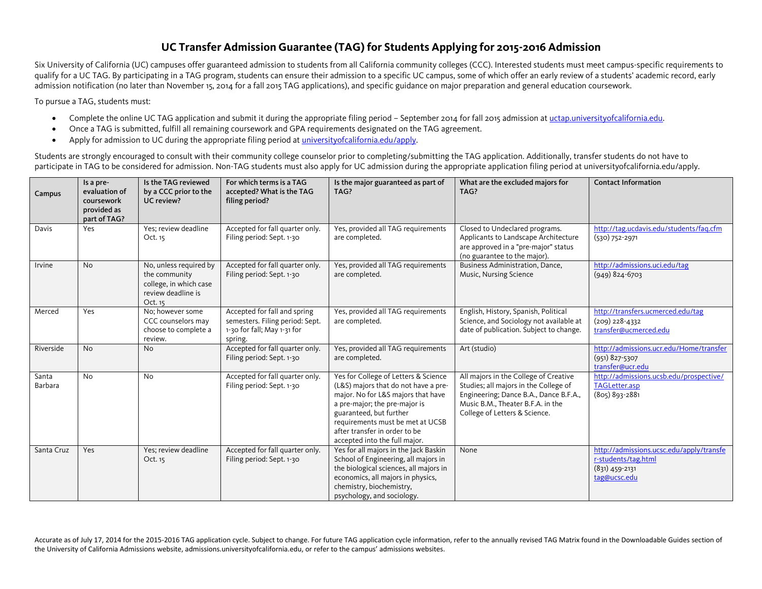## **UC Transfer Admission Guarantee (TAG) for Students Applying for 2015-2016 Admission**

Six University of California (UC) campuses offer guaranteed admission to students from all California community colleges (CCC). Interested students must meet campus-specific requirements to qualify for a UC TAG. By participating in a TAG program, students can ensure their admission to a specific UC campus, some of which offer an early review of a students' academic record, early admission notification (no later than November 15, 2014 for a fall 2015 TAG applications), and specific guidance on major preparation and general education coursework.

To pursue a TAG, students must:

- Complete the online UC TAG application and submit it during the appropriate filing period September 2014 for fall 2015 admission a[t uctap.universityofcalifornia.edu.](http://uctap.universityofcalifornia.edu/)
- Once a TAG is submitted, fulfill all remaining coursework and GPA requirements designated on the TAG agreement.
- Apply for admission to UC during the appropriate filing period at [universityofcalifornia.edu/apply.](http://universityofcalifornia.edu/apply)

Students are strongly encouraged to consult with their community college counselor prior to completing/submitting the TAG application. Additionally, transfer students do not have to participate in TAG to be considered for admission. Non-TAG students must also apply for UC admission during the appropriate application filing period at universityofcalifornia.edu/apply.

| Campus           | Is a pre-<br>evaluation of<br>coursework<br>provided as<br>part of TAG? | Is the TAG reviewed<br>by a CCC prior to the<br>UC review?                                         | For which terms is a TAG<br>accepted? What is the TAG<br>filing period?                                   | Is the major guaranteed as part of<br>TAG?                                                                                                                                                                                                                                           | What are the excluded majors for<br>TAG?                                                                                                                                                       | <b>Contact Information</b>                                                                          |
|------------------|-------------------------------------------------------------------------|----------------------------------------------------------------------------------------------------|-----------------------------------------------------------------------------------------------------------|--------------------------------------------------------------------------------------------------------------------------------------------------------------------------------------------------------------------------------------------------------------------------------------|------------------------------------------------------------------------------------------------------------------------------------------------------------------------------------------------|-----------------------------------------------------------------------------------------------------|
| Davis            | Yes                                                                     | Yes; review deadline<br>Oct. 15                                                                    | Accepted for fall quarter only.<br>Filing period: Sept. 1-30                                              | Yes, provided all TAG requirements<br>are completed.                                                                                                                                                                                                                                 | Closed to Undeclared programs.<br>Applicants to Landscape Architecture<br>are approved in a "pre-major" status<br>(no guarantee to the major).                                                 | http://tag.ucdavis.edu/students/fag.cfm<br>$(530)$ 752-2971                                         |
| Irvine           | <b>No</b>                                                               | No, unless required by<br>the community<br>college, in which case<br>review deadline is<br>Oct. 15 | Accepted for fall quarter only.<br>Filing period: Sept. 1-30                                              | Yes, provided all TAG requirements<br>are completed.                                                                                                                                                                                                                                 | Business Administration, Dance,<br>Music, Nursing Science                                                                                                                                      | http://admissions.uci.edu/tag<br>$(949)$ 824-6703                                                   |
| Merced           | Yes                                                                     | No; however some<br>CCC counselors may<br>choose to complete a<br>review.                          | Accepted for fall and spring<br>semesters. Filing period: Sept.<br>1-30 for fall; May 1-31 for<br>spring. | Yes, provided all TAG requirements<br>are completed.                                                                                                                                                                                                                                 | English, History, Spanish, Political<br>Science, and Sociology not available at<br>date of publication. Subject to change.                                                                     | http://transfers.ucmerced.edu/tag<br>$(209)$ 228-4332<br>transfer@ucmerced.edu                      |
| Riverside        | <b>No</b>                                                               | <b>No</b>                                                                                          | Accepted for fall quarter only.<br>Filing period: Sept. 1-30                                              | Yes, provided all TAG requirements<br>are completed.                                                                                                                                                                                                                                 | Art (studio)                                                                                                                                                                                   | http://admissions.ucr.edu/Home/transfer<br>$(951)$ 827-5307<br>transfer@ucr.edu                     |
| Santa<br>Barbara | <b>No</b>                                                               | No                                                                                                 | Accepted for fall quarter only.<br>Filing period: Sept. 1-30                                              | Yes for College of Letters & Science<br>(L&S) majors that do not have a pre-<br>major. No for L&S majors that have<br>a pre-major; the pre-major is<br>guaranteed, but further<br>requirements must be met at UCSB<br>after transfer in order to be<br>accepted into the full major. | All majors in the College of Creative<br>Studies; all majors in the College of<br>Engineering; Dance B.A., Dance B.F.A.,<br>Music B.M., Theater B.F.A. in the<br>College of Letters & Science. | http://admissions.ucsb.edu/prospective/<br>TAGLetter.asp<br>$(805) 893 - 2881$                      |
| Santa Cruz       | Yes                                                                     | Yes; review deadline<br>Oct. 15                                                                    | Accepted for fall quarter only.<br>Filing period: Sept. 1-30                                              | Yes for all majors in the Jack Baskin<br>School of Engineering, all majors in<br>the biological sciences, all majors in<br>economics, all majors in physics,<br>chemistry, biochemistry,<br>psychology, and sociology.                                                               | None                                                                                                                                                                                           | http://admissions.ucsc.edu/apply/transfe<br>r-students/tag.html<br>$(831)$ 459-2131<br>tag@ucsc.edu |

Accurate as of July 17, 2014 for the 2015-2016 TAG application cycle. Subject to change. For future TAG application cycle information, refer to the annually revised TAG Matrix found in the Downloadable Guides section of the University of California Admissions website, admissions.universityofcalifornia.edu, or refer to the campus' admissions websites.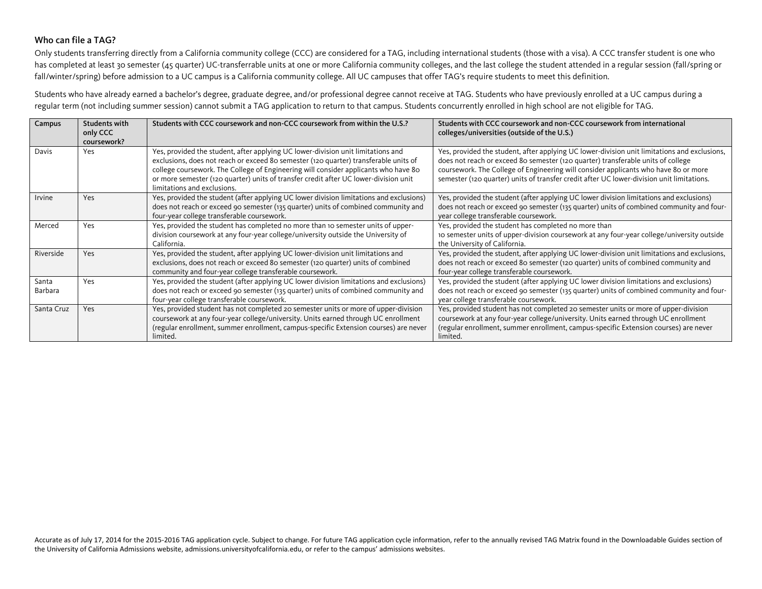## Who can file a TAG?

Only students transferring directly from a California community college (CCC) are considered for a TAG, including international students (those with a visa). A CCC transfer student is one who has completed at least 30 semester (45 quarter) UC-transferrable units at one or more California community colleges, and the last college the student attended in a regular session (fall/spring or fall/winter/spring) before admission to a UC campus is a California community college. All UC campuses that offer TAG's require students to meet this definition.

Students who have already earned a bachelor's degree, graduate degree, and/or professional degree cannot receive at TAG. Students who have previously enrolled at a UC campus during a regular term (not including summer session) cannot submit a TAG application to return to that campus. Students concurrently enrolled in high school are not eligible for TAG.

| Campus           | Students with<br>only CCC<br>coursework? | Students with CCC coursework and non-CCC coursework from within the U.S.?                                                                                                                                                                                                                                                                                                              | Students with CCC coursework and non-CCC coursework from international<br>colleges/universities (outside of the U.S.)                                                                                                                                                                                                                                                |
|------------------|------------------------------------------|----------------------------------------------------------------------------------------------------------------------------------------------------------------------------------------------------------------------------------------------------------------------------------------------------------------------------------------------------------------------------------------|----------------------------------------------------------------------------------------------------------------------------------------------------------------------------------------------------------------------------------------------------------------------------------------------------------------------------------------------------------------------|
| Davis            | Yes                                      | Yes, provided the student, after applying UC lower-division unit limitations and<br>exclusions, does not reach or exceed 80 semester (120 quarter) transferable units of<br>college coursework. The College of Engineering will consider applicants who have 80<br>or more semester (120 quarter) units of transfer credit after UC lower-division unit<br>limitations and exclusions. | Yes, provided the student, after applying UC lower-division unit limitations and exclusions,<br>does not reach or exceed 80 semester (120 quarter) transferable units of college<br>coursework. The College of Engineering will consider applicants who have 80 or more<br>semester (120 quarter) units of transfer credit after UC lower-division unit limitations. |
| Irvine           | Yes                                      | Yes, provided the student (after applying UC lower division limitations and exclusions)<br>does not reach or exceed 90 semester (135 quarter) units of combined community and<br>four-year college transferable coursework.                                                                                                                                                            | Yes, provided the student (after applying UC lower division limitations and exclusions)<br>does not reach or exceed 90 semester (135 quarter) units of combined community and four-<br>year college transferable coursework.                                                                                                                                         |
| Merced           | Yes                                      | Yes, provided the student has completed no more than 10 semester units of upper-<br>division coursework at any four-year college/university outside the University of<br>California.                                                                                                                                                                                                   | Yes, provided the student has completed no more than<br>10 semester units of upper-division coursework at any four-year college/university outside<br>the University of California.                                                                                                                                                                                  |
| Riverside        | Yes                                      | Yes, provided the student, after applying UC lower-division unit limitations and<br>exclusions, does not reach or exceed 80 semester (120 quarter) units of combined<br>community and four-year college transferable coursework.                                                                                                                                                       | Yes, provided the student, after applying UC lower-division unit limitations and exclusions,<br>does not reach or exceed 80 semester (120 quarter) units of combined community and<br>four-year college transferable coursework.                                                                                                                                     |
| Santa<br>Barbara | Yes                                      | Yes, provided the student (after applying UC lower division limitations and exclusions)<br>does not reach or exceed 90 semester (135 quarter) units of combined community and<br>four-year college transferable coursework.                                                                                                                                                            | Yes, provided the student (after applying UC lower division limitations and exclusions)<br>does not reach or exceed 90 semester (135 quarter) units of combined community and four-<br>year college transferable coursework.                                                                                                                                         |
| Santa Cruz       | Yes                                      | Yes, provided student has not completed 20 semester units or more of upper-division<br>coursework at any four-year college/university. Units earned through UC enrollment<br>(regular enrollment, summer enrollment, campus-specific Extension courses) are never<br>limited.                                                                                                          | Yes, provided student has not completed 20 semester units or more of upper-division<br>coursework at any four-year college/university. Units earned through UC enrollment<br>(regular enrollment, summer enrollment, campus-specific Extension courses) are never<br>limited.                                                                                        |

Accurate as of July 17, 2014 for the 2015-2016 TAG application cycle. Subject to change. For future TAG application cycle information, refer to the annually revised TAG Matrix found in the Downloadable Guides section of the University of California Admissions website, admissions.universityofcalifornia.edu, or refer to the campus' admissions websites.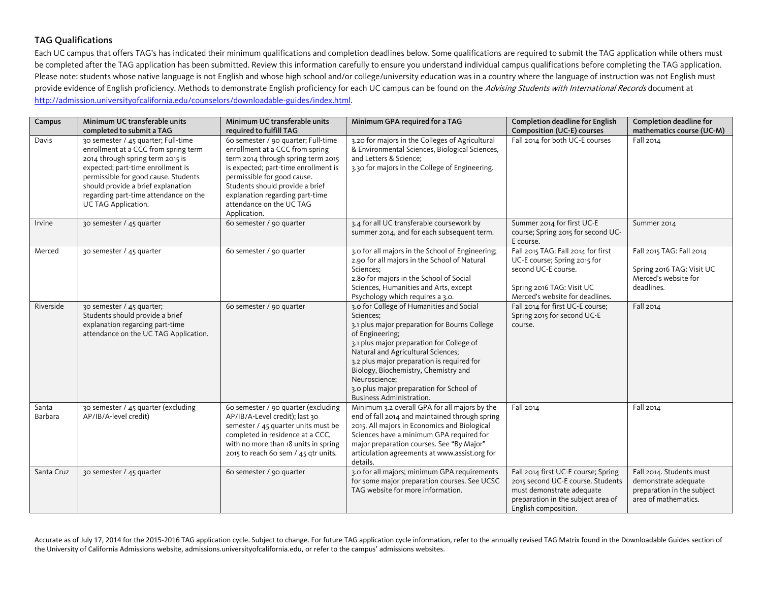## TAG Qualifications

Each UC campus that offers TAG's has indicated their minimum qualifications and completion deadlines below. Some qualifications are required to submit the TAG application while others must be completed after the TAG application has been submitted. Review this information carefully to ensure you understand individual campus qualifications before completing the TAG application. Please note: students whose native language is not English and whose high school and/or college/university education was in a country where the language of instruction was not English must provide evidence of English proficiency. Methods to demonstrate English proficiency for each UC campus can be found on the Advising Students with International Records document at [http://admission.universityofcalifornia.edu/counselors/downloadable-guides/index.html.](http://admission.universityofcalifornia.edu/counselors/downloadable-guides/index.html) 

| Campus           | Minimum UC transferable units<br>completed to submit a TAG                                                                                                                                                                                                                                         | Minimum UC transferable units<br>required to fulfill TAG                                                                                                                                                                                                                                              | Minimum GPA required for a TAG                                                                                                                                                                                                                                                                                                                                                              | <b>Completion deadline for English</b><br>Composition (UC-E) courses                                                                                                | Completion deadline for<br>mathematics course (UC-M)                                                   |
|------------------|----------------------------------------------------------------------------------------------------------------------------------------------------------------------------------------------------------------------------------------------------------------------------------------------------|-------------------------------------------------------------------------------------------------------------------------------------------------------------------------------------------------------------------------------------------------------------------------------------------------------|---------------------------------------------------------------------------------------------------------------------------------------------------------------------------------------------------------------------------------------------------------------------------------------------------------------------------------------------------------------------------------------------|---------------------------------------------------------------------------------------------------------------------------------------------------------------------|--------------------------------------------------------------------------------------------------------|
| Davis            | 30 semester / 45 quarter; Full-time<br>enrollment at a CCC from spring term<br>2014 through spring term 2015 is<br>expected; part-time enrollment is<br>permissible for good cause. Students<br>should provide a brief explanation<br>regarding part-time attendance on the<br>UC TAG Application. | 60 semester / 90 quarter; Full-time<br>enrollment at a CCC from spring<br>term 2014 through spring term 2015<br>is expected; part-time enrollment is<br>permissible for good cause.<br>Students should provide a brief<br>explanation regarding part-time<br>attendance on the UC TAG<br>Application. | 3.20 for majors in the Colleges of Agricultural<br>& Environmental Sciences, Biological Sciences,<br>and Letters & Science;<br>3.30 for majors in the College of Engineering.                                                                                                                                                                                                               | Fall 2014 for both UC-E courses                                                                                                                                     | Fall 2014                                                                                              |
| Irvine           | 30 semester / 45 quarter                                                                                                                                                                                                                                                                           | 60 semester / 90 quarter                                                                                                                                                                                                                                                                              | 3.4 for all UC transferable coursework by<br>summer 2014, and for each subsequent term.                                                                                                                                                                                                                                                                                                     | Summer 2014 for first UC-E<br>course; Spring 2015 for second UC-<br>E course.                                                                                       | Summer 2014                                                                                            |
| Merced           | 30 semester / 45 quarter                                                                                                                                                                                                                                                                           | 60 semester / 90 quarter                                                                                                                                                                                                                                                                              | 3.0 for all majors in the School of Engineering;<br>2.90 for all majors in the School of Natural<br>Sciences:<br>2.80 for majors in the School of Social<br>Sciences, Humanities and Arts, except<br>Psychology which requires a 3.0.                                                                                                                                                       | Fall 2015 TAG: Fall 2014 for first<br>UC-E course; Spring 2015 for<br>second UC-E course.<br>Spring 2016 TAG: Visit UC<br>Merced's website for deadlines.           | Fall 2015 TAG: Fall 2014<br>Spring 2016 TAG: Visit UC<br>Merced's website for<br>deadlines.            |
| Riverside        | 30 semester / 45 quarter;<br>Students should provide a brief<br>explanation regarding part-time<br>attendance on the UC TAG Application.                                                                                                                                                           | 60 semester / 90 quarter                                                                                                                                                                                                                                                                              | 3.0 for College of Humanities and Social<br>Sciences:<br>3.1 plus major preparation for Bourns College<br>of Engineering;<br>3.1 plus major preparation for College of<br>Natural and Agricultural Sciences;<br>3.2 plus major preparation is required for<br>Biology, Biochemistry, Chemistry and<br>Neuroscience;<br>3.0 plus major preparation for School of<br>Business Administration. | Fall 2014 for first UC-E course;<br>Spring 2015 for second UC-E<br>course.                                                                                          | Fall 2014                                                                                              |
| Santa<br>Barbara | 30 semester / 45 quarter (excluding<br>AP/IB/A-level credit)                                                                                                                                                                                                                                       | 60 semester / 90 quarter (excluding<br>AP/IB/A-Level credit); last 30<br>semester / 45 quarter units must be<br>completed in residence at a CCC,<br>with no more than 18 units in spring<br>2015 to reach 60 sem / 45 qtr units.                                                                      | Minimum 3.2 overall GPA for all majors by the<br>end of fall 2014 and maintained through spring<br>2015. All majors in Economics and Biological<br>Sciences have a minimum GPA required for<br>major preparation courses. See "By Major"<br>articulation agreements at www.assist.org for<br>details.                                                                                       | Fall 2014                                                                                                                                                           | Fall 2014                                                                                              |
| Santa Cruz       | 30 semester / 45 quarter                                                                                                                                                                                                                                                                           | 60 semester / 90 quarter                                                                                                                                                                                                                                                                              | 3.0 for all majors; minimum GPA requirements<br>for some major preparation courses. See UCSC<br>TAG website for more information.                                                                                                                                                                                                                                                           | Fall 2014 first UC-E course; Spring<br>2015 second UC-E course. Students<br>must demonstrate adequate<br>preparation in the subject area of<br>English composition. | Fall 2014. Students must<br>demonstrate adequate<br>preparation in the subject<br>area of mathematics. |

Accurate as of July 17, 2014 for the 2015-2016 TAG application cycle. Subject to change. For future TAG application cycle information, refer to the annually revised TAG Matrix found in the Downloadable Guides section of the University of California Admissions website, admissions.universityofcalifornia.edu, or refer to the campus' admissions websites.